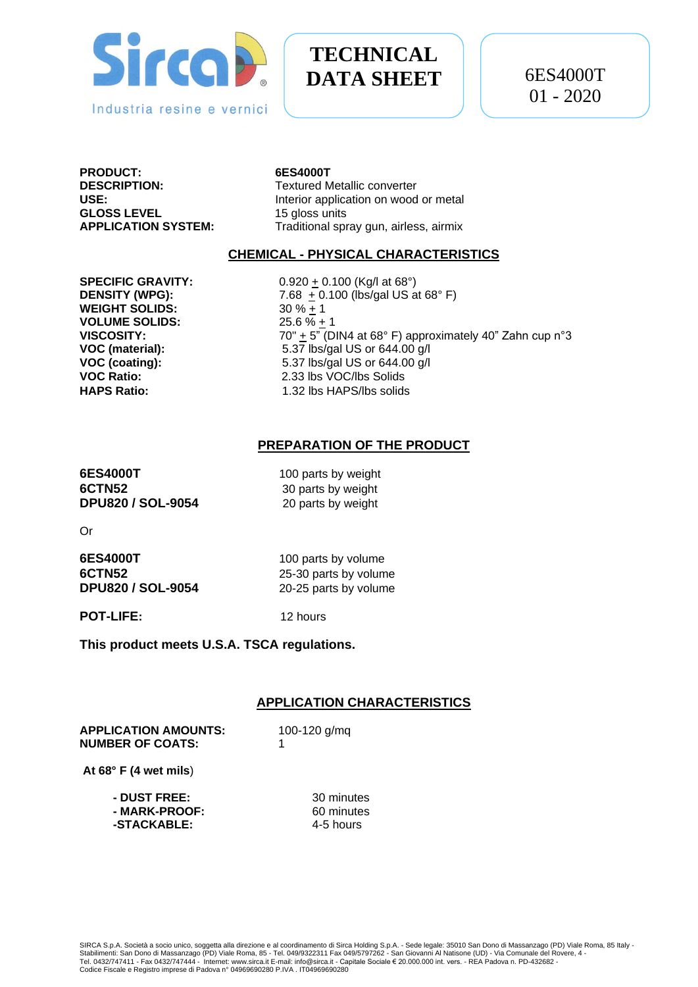

# **TECHNICAL DATA SHEET**

**PRODUCT: 6ES4000T GLOSS LEVEL** 15 gloss units

**Textured Metallic converter USE:** Interior application on wood or metal **APPLICATION SYSTEM:** Traditional spray gun, airless, airmix

## **CHEMICAL - PHYSICAL CHARACTERISTICS**

**WEIGHT SOLIDS:** 30 % + 1 **VOLUME SOLIDS:** 25.6 % + 1

**SPECIFIC GRAVITY:** 0.920 + 0.100 (Kg/l at 68°) **DENSITY (WPG):** 7.68  $\pm$  0.100 (lbs/gal US at 68°F) **VISCOSITY:** 70" + 5" (DIN4 at 68° F) approximately 40" Zahn cup n°3 **VOC (material):** 5.37 lbs/gal US or 644.00 g/l **VOC (coating):** 5.37 lbs/gal US or 644.00 g/l **VOC Ratio:** 2.33 lbs VOC/lbs Solids **HAPS Ratio:** 1.32 lbs HAPS/lbs solids

## **PREPARATION OF THE PRODUCT**

**6ES4000T** 100 parts by weight **6CTN52** 30 parts by weight **DPU820 / SOL-9054** 20 parts by weight

Or

**6ES4000T** 100 parts by volume **6CTN52** 25-30 parts by volume **DPU820 / SOL-9054** 20-25 parts by volume

**POT-LIFE:** 12 hours

**This product meets U.S.A. TSCA regulations.**

#### **APPLICATION CHARACTERISTICS**

**APPLICATION AMOUNTS:** 100-120 g/mq **NUMBER OF COATS:** 1

**At 68° F (4 wet mils**)

| - DUST FREE: . | 30 minutes |
|----------------|------------|
| - MARK-PROOF:  | 60 minutes |
| -STACKABLE:    | 4-5 hours  |